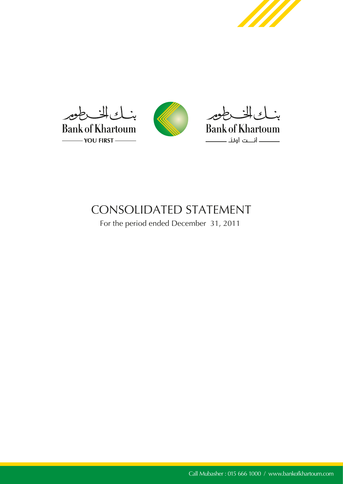







# CONSOLIDATED STATEMENT

For the period ended December 31, 2011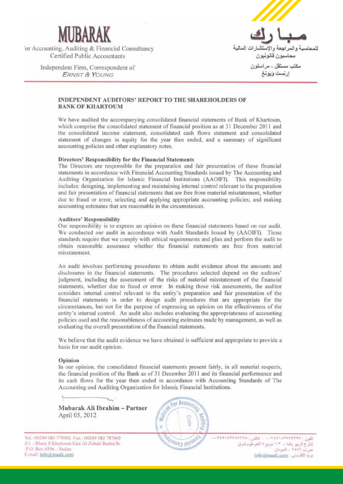

or Accounting, Auditing & Financial Consultancy Certified Public Accountants

> Independent Firm, Correspondent of **FRNST & YOUNG**



#### **INDEPENDENT AUDITORS' REPORT TO THE SHAREHOLDERS OF BANK OF KHARTOUM**

We have audited the accompanying consolidated financial statements of Bank of Khartoum. which comprise the consolidated statement of financial position as at 31 December 2011 and the consolidated income statement, consolidated cash flows statement and consolidated statement of changes in equity for the year then ended, and a summary of significant accounting policies and other explanatory notes.

#### Directors' Responsibility for the Financial Statements

The Directors are responsible for the preparation and fair presentation of these financial statements in accordance with Financial Accounting Standards issued by The Accounting and Auditing Organization for Islamic Financial Institutions (AAOIFI). This responsibility includes: designing, implementing and maintaining internal control relevant to the preparation and fair presentation of financial statements that are free from material misstatement, whether due to fraud or error; selecting and applying appropriate accounting policies; and making accounting estimates that are reasonable in the circumstances.

#### **Auditors' Responsibility**

Our responsibility is to express an opinion on these financial statements based on our audit. We conducted our audit in accordance with Audit Standards Issued by (AAOIFI). Those standards require that we comply with ethical requirements and plan and perform the audit to obtain reasonable assurance whether the financial statements are free from material misstatement.

An audit involves performing procedures to obtain audit evidence about the amounts and disclosures in the financial statements. The procedures selected depend on the auditors' judgment, including the assessment of the risks of material misstatement of the financial statements, whether due to fraud or error. In making those risk assessments, the auditor considers internal control relevant to the entity's preparation and fair presentation of the financial statements in order to design audit procedures that are appropriate for the circumstances, but not for the purpose of expressing an opinion on the effectiveness of the entity's internal control. An audit also includes evaluating the appropriateness of accounting policies used and the reasonableness of accounting estimates made by management, as well as evaluating the overall presentation of the financial statements,

We believe that the audit evidence we have obtained is sufficient and appropriate to provide a basis for our audit opinion.

#### Opinion

In our opinion, the consolidated financial statements present fairly, in all material respects, the financial position of the Bank as of 31 December 2011 and its financial performance and its cash flows for the year then ended in accordance with Accounting Standards of The Accounting and Auditing Organization for Islamic Financial Institutions.

Mubarak Ali Ibrahim - Partner April 05, 2012



4/05003 1912

Tel.: 00249 183 779392 Fax.: 00249 183 787665 3/1-Block 5 Khartoum East Al Zubair Basha St. P.O. Box 6556 - Sudan E-mail: info@maafc.com

ATERNAMINAL LEL ATERNAMINA شارع الزبير بنشاب ١/٣ مريع ٥ الغرطوم شرق صالب 1005 سالمودان بريد للكروني : info@maafc.com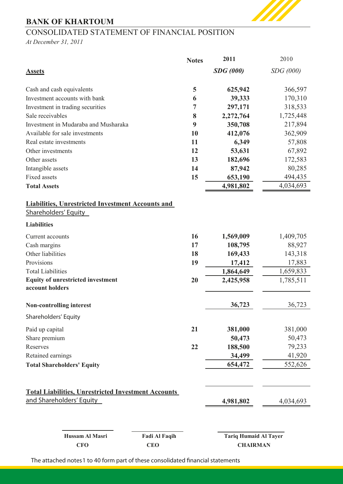## CONSOLIDATED STATEMENT OF FINANCIAL POSITION

*At December 31, 2011*

|                                                                                         | <b>Notes</b>                       | 2011                                            | 2010      |
|-----------------------------------------------------------------------------------------|------------------------------------|-------------------------------------------------|-----------|
| <b>Assets</b>                                                                           |                                    | <b>SDG</b> (000)                                | SDG (000) |
| Cash and cash equivalents                                                               | 5                                  | 625,942                                         | 366,597   |
| Investment accounts with bank                                                           | 6                                  | 39,333                                          | 170,310   |
| Investment in trading securities                                                        | 7                                  | 297,171                                         | 318,533   |
| Sale receivables                                                                        | 8                                  | 2,272,764                                       | 1,725,448 |
| Investment in Mudaraba and Musharaka                                                    | 9                                  | 350,708                                         | 217,894   |
| Available for sale investments                                                          | 10                                 | 412,076                                         | 362,909   |
| Real estate investments                                                                 | 11                                 | 6,349                                           | 57,808    |
| Other investments                                                                       | 12                                 | 53,631                                          | 67,892    |
| Other assets                                                                            | 13                                 | 182,696                                         | 172,583   |
| Intangible assets                                                                       | 14                                 | 87,942                                          | 80,285    |
| <b>Fixed assets</b>                                                                     | 15                                 | 653,190                                         | 494,435   |
| <b>Total Assets</b>                                                                     |                                    | 4,981,802                                       | 4,034,693 |
| <b>Liabilities, Unrestricted Investment Accounts and</b><br><b>Shareholders' Equity</b> |                                    |                                                 |           |
| <b>Liabilities</b>                                                                      |                                    |                                                 |           |
| Current accounts                                                                        | 16                                 | 1,569,009                                       | 1,409,705 |
| Cash margins                                                                            | 17                                 | 108,795                                         | 88,927    |
| Other liabilities                                                                       | 18                                 | 169,433                                         | 143,318   |
| Provisions                                                                              | 19                                 | 17,412                                          | 17,883    |
| <b>Total Liabilities</b>                                                                |                                    | 1,864,649                                       | 1,659,833 |
| <b>Equity of unrestricted investment</b><br>account holders                             | 20                                 | 2,425,958                                       | 1,785,511 |
| <b>Non-controlling interest</b>                                                         |                                    | 36,723                                          | 36,723    |
| Shareholders' Equity                                                                    |                                    |                                                 |           |
| Paid up capital                                                                         | 21                                 | 381,000                                         | 381,000   |
| Share premium                                                                           |                                    | 50,473                                          | 50,473    |
| Reserves                                                                                | 22                                 | 188,500                                         | 79,233    |
| Retained earnings                                                                       |                                    | 34,499                                          | 41,920    |
| <b>Total Shareholders' Equity</b>                                                       |                                    | 654,472                                         | 552,626   |
| <b>Total Liabilities, Unrestricted Investment Accounts</b><br>and Shareholders' Equity  |                                    | 4,981,802                                       | 4,034,693 |
| Hussam Al Masri<br><b>CFO</b>                                                           | <b>Fadi Al Faqih</b><br><b>CEO</b> | <b>Tariq Humaid Al Tayer</b><br><b>CHAIRMAN</b> |           |

The attached notes 1 to 40 form part of these consolidated financial statements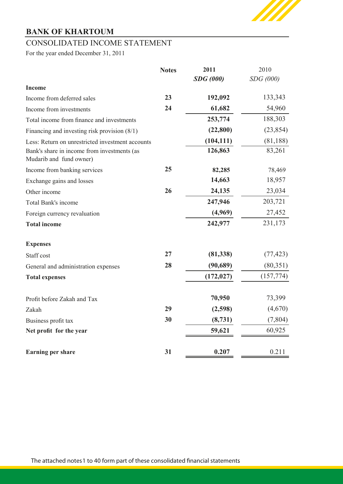

### CONSOLIDATED INCOME STATEMENT

For the year ended December 31, 2011

|                                                                        | <b>Notes</b> | 2011             | 2010       |
|------------------------------------------------------------------------|--------------|------------------|------------|
|                                                                        |              | <b>SDG</b> (000) | SDG (000)  |
| <b>Income</b>                                                          |              |                  |            |
| Income from deferred sales                                             | 23           | 192,092          | 133,343    |
| Income from investments                                                | 24           | 61,682           | 54,960     |
| Total income from finance and investments                              |              | 253,774          | 188,303    |
| Financing and investing risk provision $(8/1)$                         |              | (22, 800)        | (23, 854)  |
| Less: Return on unrestricted investment accounts                       |              | (104, 111)       | (81, 188)  |
| Bank's share in income from investments (as<br>Mudarib and fund owner) |              | 126,863          | 83,261     |
| Income from banking services                                           | 25           | 82,285           | 78,469     |
| Exchange gains and losses                                              |              | 14,663           | 18,957     |
| Other income                                                           | 26           | 24,135           | 23,034     |
| Total Bank's income                                                    |              | 247,946          | 203,721    |
| Foreign currency revaluation                                           |              | (4,969)          | 27,452     |
| <b>Total income</b>                                                    |              | 242,977          | 231,173    |
| <b>Expenses</b>                                                        |              |                  |            |
| Staff cost                                                             | 27           | (81, 338)        | (77, 423)  |
| General and administration expenses                                    | 28           | (90, 689)        | (80,351)   |
| <b>Total expenses</b>                                                  |              | (172, 027)       | (157, 774) |
| Profit before Zakah and Tax                                            |              | 70,950           | 73,399     |
| Zakah                                                                  | 29           | (2,598)          | (4,670)    |
| Business profit tax                                                    | 30           | (8,731)          | (7,804)    |
| Net profit for the year                                                |              | 59,621           | 60,925     |
| <b>Earning per share</b>                                               | 31           | 0.207            | 0.211      |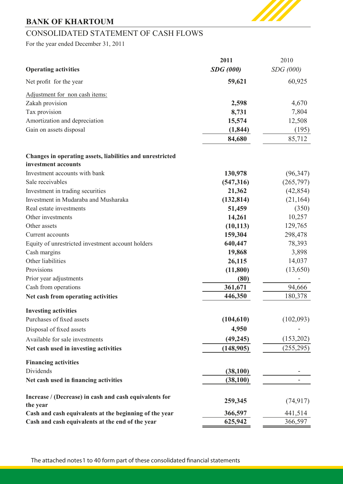### CONSOLIDATED STATEMENT OF CASH FLOWS

For the year ended December 31, 2011

|                                                                                  | 2011             | 2010       |
|----------------------------------------------------------------------------------|------------------|------------|
| <b>Operating activities</b>                                                      | <b>SDG</b> (000) | SDG (000)  |
| Net profit for the year                                                          | 59,621           | 60,925     |
| Adjustment for non cash items:                                                   |                  |            |
| Zakah provision                                                                  | 2,598            | 4,670      |
| Tax provision                                                                    | 8,731            | 7,804      |
| Amortization and depreciation                                                    | 15,574           | 12,508     |
| Gain on assets disposal                                                          | (1, 844)         | (195)      |
|                                                                                  | 84,680           | 85,712     |
| Changes in operating assets, liabilities and unrestricted<br>investment accounts |                  |            |
| Investment accounts with bank                                                    | 130,978          | (96, 347)  |
| Sale receivables                                                                 | (547,316)        | (265,797)  |
| Investment in trading securities                                                 | 21,362           | (42, 854)  |
| Investment in Mudaraba and Musharaka                                             | (132, 814)       | (21, 164)  |
| Real estate investments                                                          | 51,459           | (350)      |
| Other investments                                                                | 14,261           | 10,257     |
| Other assets                                                                     | (10, 113)        | 129,765    |
| Current accounts                                                                 | 159,304          | 298,478    |
| Equity of unrestricted investment account holders                                | 640,447          | 78,393     |
| Cash margins                                                                     | 19,868           | 3,898      |
| Other liabilities                                                                | 26,115           | 14,037     |
| Provisions                                                                       | (11,800)         | (13,650)   |
| Prior year adjustments                                                           | (80)             |            |
| Cash from operations                                                             | 361,671          | 94,666     |
| Net cash from operating activities                                               | 446,350          | 180,378    |
| <b>Investing activities</b>                                                      |                  |            |
| Purchases of fixed assets                                                        | (104, 610)       | (102,093)  |
| Disposal of fixed assets                                                         | 4,950            |            |
| Available for sale investments                                                   | (49, 245)        | (153,202)  |
| Net cash used in investing activities                                            | (148,905)        | (255, 295) |
| <b>Financing activities</b>                                                      |                  |            |
| Dividends                                                                        | (38, 100)        |            |
| Net cash used in financing activities                                            | (38, 100)        |            |
| Increase / (Decrease) in cash and cash equivalents for<br>the year               | 259,345          | (74, 917)  |
| Cash and cash equivalents at the beginning of the year                           | 366,597          | 441,514    |
| Cash and cash equivalents at the end of the year                                 | 625,942          | 366,597    |
|                                                                                  |                  |            |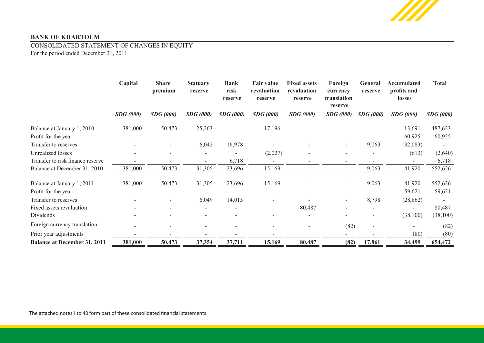

CONSOLIDATED STATEMENT OF CHANGES IN EQUITY

For the period ended December 31, 2011

|                                     | Capital<br><b>Share</b><br>premium | <b>Statuary</b><br>reserve | <b>Bank</b><br>risk<br>reserve | <b>Fair value</b><br>revaluation<br>reserve | <b>Fixed assets</b><br>revaluation<br>reserve | Foreign<br>currency<br>translation<br>reserve | General<br>reserve | <b>Accumulated</b><br>profits and<br>losses | <b>Total</b>     |                  |
|-------------------------------------|------------------------------------|----------------------------|--------------------------------|---------------------------------------------|-----------------------------------------------|-----------------------------------------------|--------------------|---------------------------------------------|------------------|------------------|
|                                     | <b>SDG</b> (000)                   | <b>SDG</b> (000)           | <b>SDG</b> (000)               | <b>SDG</b> (000)                            | <b>SDG</b> (000)                              | <b>SDG</b> (000)                              | <b>SDG</b> (000)   | <b>SDG</b> (000)                            | <b>SDG</b> (000) | <b>SDG</b> (000) |
| Balance at January 1, 2010          | 381,000                            | 50,473                     | 25,263                         | $\overline{\phantom{0}}$                    | 17,196                                        |                                               |                    |                                             | 13,691           | 487,623          |
| Profit for the year                 |                                    |                            |                                |                                             |                                               |                                               |                    |                                             | 60,925           | 60,925           |
| Transfer to reserves                |                                    |                            | 6,042                          | 16,978                                      |                                               |                                               |                    | 9,063                                       | (32,083)         |                  |
| Unrealized losses                   |                                    |                            |                                |                                             | (2,027)                                       |                                               |                    |                                             | (613)            | (2,640)          |
| Transfer to risk finance reserve    |                                    |                            |                                | 6,718                                       |                                               |                                               |                    |                                             |                  | 6,718            |
| Balance at December 31, 2010        | 381,000                            | 50,473                     | 31,305                         | 23,696                                      | 15,169                                        |                                               |                    | 9,063                                       | 41,920           | 552,626          |
| Balance at January 1, 2011          | 381,000                            | 50,473                     | 31,305                         | 23,696                                      | 15,169                                        |                                               |                    | 9,063                                       | 41,920           | 552,626          |
| Profit for the year                 |                                    |                            |                                |                                             |                                               |                                               |                    |                                             | 59,621           | 59,621           |
| Transfer to reserves                |                                    |                            | 6,049                          | 14,015                                      |                                               |                                               |                    | 8,798                                       | (28, 862)        |                  |
| Fixed assets revaluation            |                                    |                            |                                |                                             |                                               | 80,487                                        |                    |                                             |                  | 80,487           |
| Dividends                           |                                    |                            |                                |                                             |                                               |                                               |                    |                                             | (38,100)         | (38, 100)        |
| Foreign currency translation        |                                    |                            |                                |                                             |                                               |                                               | (82)               |                                             |                  | (82)             |
| Prior year adjustments              |                                    |                            |                                |                                             |                                               |                                               |                    |                                             | (80)             | (80)             |
| <b>Balance at December 31, 2011</b> | 381,000                            | 50,473                     | 37,354                         | 37,711                                      | 15,169                                        | 80,487                                        | (82)               | 17,861                                      | 34,499           | 654,472          |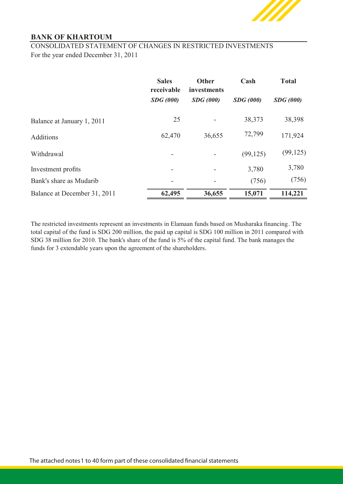

### CONSOLIDATED STATEMENT OF CHANGES IN RESTRICTED INVESTMENTS For the year ended December 31, 2011

|                              | <b>Sales</b><br>receivable | <b>Other</b><br>investments | Cash             | <b>Total</b>     |
|------------------------------|----------------------------|-----------------------------|------------------|------------------|
|                              | <b>SDG</b> (000)           | <b>SDG</b> (000)            | <b>SDG</b> (000) | <b>SDG</b> (000) |
| Balance at January 1, 2011   | 25                         |                             | 38,373           | 38,398           |
| <b>Additions</b>             | 62,470                     | 36,655                      | 72,799           | 171,924          |
| Withdrawal                   |                            |                             | (99, 125)        | (99, 125)        |
| Investment profits           | ۰                          |                             | 3,780            | 3,780            |
| Bank's share as Mudarib      | -                          |                             | (756)            | (756)            |
| Balance at December 31, 2011 | 62,495                     | 36,655                      | 15,071           | 114,221          |

The restricted investments represent an investments in Elamaan funds based on Musharaka financing. The total capital of the fund is SDG 200 million, the paid up capital is SDG 100 million in 2011 compared with SDG 38 million for 2010. The bank's share of the fund is 5% of the capital fund. The bank manages the funds for 3 extendable years upon the agreement of the shareholders.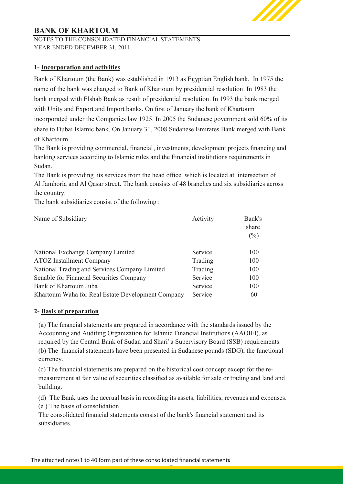

NOTES TO THE CONSOLIDATED FINANCIAL STATEMENTS YEAR ENDED DECEMBER 31, 2011

#### **1- Incorporation and activities**

Bank of Khartoum (the Bank) was established in 1913 as Egyptian English bank. In 1975 the name of the bank was changed to Bank of Khartoum by presidential resolution. In 1983 the bank merged with Elshab Bank as result of presidential resolution. In 1993 the bank merged with Unity and Export and Import banks. On first of January the bank of Khartoum incorporated under the Companies law 1925. In 2005 the Sudanese government sold 60% of its share to Dubai Islamic bank. On January 31, 2008 Sudanese Emirates Bank merged with Bank of Khartoum.

The Bank is providing commercial, financial, investments, development projects financing and banking services according to Islamic rules and the Financial institutions requirements in Sudan.

The Bank is providing its services from the head office which is located at intersection of Al Jamhoria and Al Qasar street. The bank consists of 48 branches and six subsidiaries across the country.

The bank subsidiaries consist of the following :

| Name of Subsidiary                                | Activity | Bank's<br>share<br>$(\%)$ |
|---------------------------------------------------|----------|---------------------------|
| National Exchange Company Limited                 | Service  | 100                       |
| <b>ATOZ</b> Installment Company                   | Trading  | 100                       |
| National Trading and Services Company Limited     | Trading  | 100                       |
| Senable for Financial Securities Company          | Service  | 100                       |
| Bank of Khartoum Juba                             | Service  | 100                       |
| Khartoum Waha for Real Estate Development Company | Service  | 60                        |

#### **2- Basis of preparation**

(a) The financial statements are prepared in accordance with the standards issued by the Accounting and Auditing Organization for Islamic Financial Institutions (AAOIFI), as required by the Central Bank of Sudan and Shari' a Supervisory Board (SSB) requirements. (b) The financial statements have been presented in Sudanese pounds (SDG), the functional currency.

(c) The financial statements are prepared on the historical cost concept except for the remeasurement at fair value of securities classified as available for sale or trading and land and building.

(e ) The basis of consolidation (d) The Bank uses the accrual basis in recording its assets, liabilities, revenues and expenses.

7

The consolidated financial statements consist of the bank's financial statement and its subsidiaries.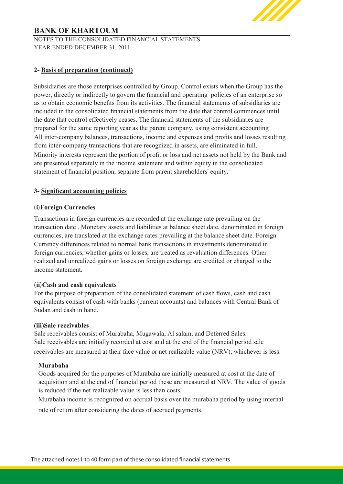

#### NOTES TO THE CONSOLIDATED FINANCIAL STATEMENTS YEAR ENDED DECEMBER 31, 2011

#### **2- Basis of preparation (continued)**

All inter-company balances, transactions, income and expenses and profits and losses resulting from inter-company transactions that are recognized in assets, are eliminated in full. Minority interests represent the portion of profit or loss and net assets not held by the Bank and are presented separately in the income statement and within equity in the consolidated statement of financial position, separate from parent shareholders' equity. Subsidiaries are those enterprises controlled by Group. Control exists when the Group has the power, directly or indirectly to govern the financial and operating policies of an enterprise so as to obtain economic benefits from its activities. The financial statements of subsidiaries are included in the consolidated financial statements from the date that control commences until the date that control effectively ceases. The financial statements of the subsidiaries are prepared for the same reporting year as the parent company, using consistent accounting

#### **3- Significant accounting policies**

#### **(i)Foreign Currencies**

Transactions in foreign currencies are recorded at the exchange rate prevailing on the transaction date . Monetary assets and liabilities at balance sheet date, denominated in foreign currencies, are translated at the exchange rates prevailing at the balance sheet date. Foreign Currency differences related to normal bank transactions in investments denominated in foreign currencies, whether gains or losses, are treated as revaluation differences. Other realized and unrealized gains or losses on foreign exchange are credited or charged to the income statement.

#### **(ii)Cash and cash equivalents**

For the purpose of preparation of the consolidated statement of cash flows, cash and cash equivalents consist of cash with banks (current accounts) and balances with Central Bank of Sudan and cash in hand.

#### **(iii)Sale receivables**

Sale receivables consist of Murabaha, Mugawala, Al salam, and Deferred Sales. Sale receivables are initially recorded at cost and at the end of the financial period sale receivables are measured at their face value or net realizable value (NRV), whichever is less.

#### **Murabaha**

Goods acquired for the purposes of Murabaha are initially measured at cost at the date of acquisition and at the end of financial period these are measured at NRV. The value of goods is reduced if the net realizable value is less than costs.

Murabaha income is recognized on accrual basis over the murabaha period by using internal rate of return after considering the dates of accrued payments.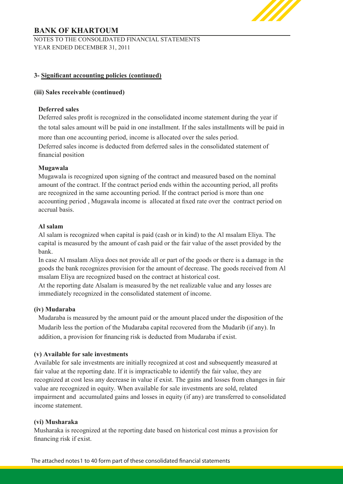

NOTES TO THE CONSOLIDATED FINANCIAL STATEMENTS YEAR ENDED DECEMBER 31, 2011

#### **3- Significant accounting policies (continued)**

#### **(iii) Sales receivable (continued)**

#### **Deferred sales**

Deferred sales profit is recognized in the consolidated income statement during the year if the total sales amount will be paid in one installment. If the sales installments will be paid in more than one accounting period, income is allocated over the sales period. Deferred sales income is deducted from deferred sales in the consolidated statement of financial position

#### **Mugawala**

Mugawala is recognized upon signing of the contract and measured based on the nominal amount of the contract. If the contract period ends within the accounting period, all profits are recognized in the same accounting period. If the contract period is more than one accounting period , Mugawala income is allocated at fixed rate over the contract period on accrual basis.

#### **Al salam**

Al salam is recognized when capital is paid (cash or in kind) to the Al msalam Eliya. The capital is measured by the amount of cash paid or the fair value of the asset provided by the bank.

In case Al msalam Aliya does not provide all or part of the goods or there is a damage in the goods the bank recognizes provision for the amount of decrease. The goods received from Al msalam Eliya are recognized based on the contract at historical cost.

At the reporting date Alsalam is measured by the net realizable value and any losses are immediately recognized in the consolidated statement of income.

#### **(iv) Mudaraba**

Mudaraba is measured by the amount paid or the amount placed under the disposition of the Mudarib less the portion of the Mudaraba capital recovered from the Mudarib (if any). In addition, a provision for financing risk is deducted from Mudaraba if exist.

#### **(v) Available for sale investments**

Available for sale investments are initially recognized at cost and subsequently measured at fair value at the reporting date. If it is impracticable to identify the fair value, they are recognized at cost less any decrease in value if exist. The gains and losses from changes in fair value are recognized in equity. When available for sale investments are sold, related impairment and accumulated gains and losses in equity (if any) are transferred to consolidated income statement.

#### **(vi) Musharaka**

Musharaka is recognized at the reporting date based on historical cost minus a provision for financing risk if exist.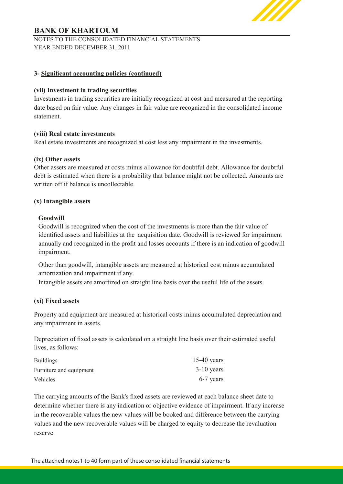

NOTES TO THE CONSOLIDATED FINANCIAL STATEMENTS YEAR ENDED DECEMBER 31, 2011

#### **3- Significant accounting policies (continued)**

#### **(vii) Investment in trading securities**

Investments in trading securities are initially recognized at cost and measured at the reporting date based on fair value. Any changes in fair value are recognized in the consolidated income statement.

#### **(viii) Real estate investments**

Real estate investments are recognized at cost less any impairment in the investments.

#### **(ix) Other assets**

Other assets are measured at costs minus allowance for doubtful debt. Allowance for doubtful debt is estimated when there is a probability that balance might not be collected. Amounts are written off if balance is uncollectable.

#### **(x) Intangible assets**

#### **Goodwill**

Goodwill is recognized when the cost of the investments is more than the fair value of identified assets and liabilities at the acquisition date. Goodwill is reviewed for impairment annually and recognized in the profit and losses accounts if there is an indication of goodwill impairment.

Other than goodwill, intangible assets are measured at historical cost minus accumulated amortization and impairment if any.

Intangible assets are amortized on straight line basis over the useful life of the assets.

#### **(xi) Fixed assets**

Property and equipment are measured at historical costs minus accumulated depreciation and any impairment in assets.

Depreciation of fixed assets is calculated on a straight line basis over their estimated useful lives, as follows:

| <b>Buildings</b>        | 15-40 years  |
|-------------------------|--------------|
| Furniture and equipment | $3-10$ years |
| Vehicles                | 6-7 years    |

The carrying amounts of the Bank's fixed assets are reviewed at each balance sheet date to determine whether there is any indication or objective evidence of impairment. If any increase in the recoverable values the new values will be booked and difference between the carrying values and the new recoverable values will be charged to equity to decrease the revaluation reserve.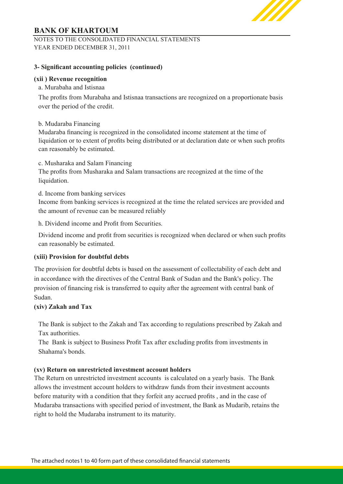

NOTES TO THE CONSOLIDATED FINANCIAL STATEMENTS YEAR ENDED DECEMBER 31, 2011

#### **3- Significant accounting policies (continued)**

#### **(xii ) Revenue recognition**

#### a. Murabaha and Istisnaa

The profits from Murabaha and Istisnaa transactions are recognized on a proportionate basis over the period of the credit.

#### b. Mudaraba Financing

Mudaraba financing is recognized in the consolidated income statement at the time of liquidation or to extent of profits being distributed or at declaration date or when such profits can reasonably be estimated.

The profits from Musharaka and Salam transactions are recognized at the time of the liquidation. c. Musharaka and Salam Financing

d. Income from banking services

Income from banking services is recognized at the time the related services are provided and the amount of revenue can be measured reliably

h. Dividend income and Profit from Securities.

Dividend income and profit from securities is recognized when declared or when such profits can reasonably be estimated.

#### **(xiii) Provision for doubtful debts**

The provision for doubtful debts is based on the assessment of collectability of each debt and in accordance with the directives of the Central Bank of Sudan and the Bank's policy. The provision of financing risk is transferred to equity after the agreement with central bank of Sudan.

#### **(xiv) Zakah and Tax**

The Bank is subject to the Zakah and Tax according to regulations prescribed by Zakah and Tax authorities.

The Bank is subject to Business Profit Tax after excluding profits from investments in Shahama's bonds.

#### **(xv) Return on unrestricted investment account holders**

The Return on unrestricted investment accounts is calculated on a yearly basis. The Bank allows the investment account holders to withdraw funds from their investment accounts before maturity with a condition that they forfeit any accrued profits , and in the case of Mudaraba transactions with specified period of investment, the Bank as Mudarib, retains the right to hold the Mudaraba instrument to its maturity.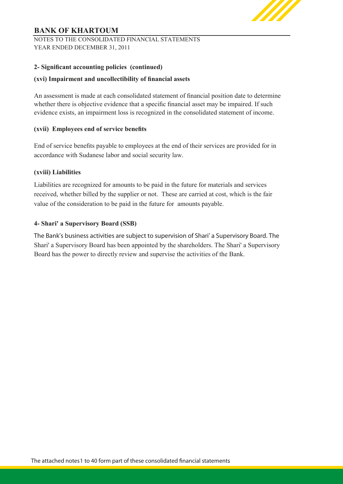

NOTES TO THE CONSOLIDATED FINANCIAL STATEMENTS YEAR ENDED DECEMBER 31, 2011

#### **2- Significant accounting policies (continued)**

#### **(xvi) Impairment and uncollectibility of financial assets**

An assessment is made at each consolidated statement of financial position date to determine whether there is objective evidence that a specific financial asset may be impaired. If such evidence exists, an impairment loss is recognized in the consolidated statement of income.

#### **(xvii) Employees end of service benefits**

End of service benefits payable to employees at the end of their services are provided for in accordance with Sudanese labor and social security law.

#### **(xviii) Liabilities**

Liabilities are recognized for amounts to be paid in the future for materials and services received, whether billed by the supplier or not. These are carried at cost, which is the fair value of the consideration to be paid in the future for amounts payable.

#### **4- Shari' a Supervisory Board (SSB)**

The Bank's business activities are subject to supervision of Shari' a Supervisory Board. The Shari' a Supervisory Board has been appointed by the shareholders. The Shari' a Supervisory Board has the power to directly review and supervise the activities of the Bank.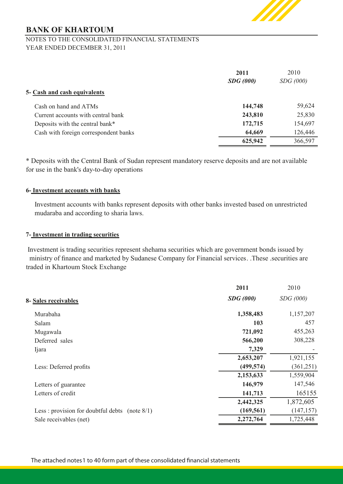

#### NOTES TO THE CONSOLIDATED FINANCIAL STATEMENTS YEAR ENDED DECEMBER 31, 2011

|                                       | 2011             | 2010             |
|---------------------------------------|------------------|------------------|
|                                       | <b>SDG</b> (000) | <i>SDG</i> (000) |
| 5- Cash and cash equivalents          |                  |                  |
| Cash on hand and ATMs                 | 144,748          | 59,624           |
| Current accounts with central bank    | 243,810          | 25,830           |
| Deposits with the central bank*       | 172,715          | 154,697          |
| Cash with foreign correspondent banks | 64,669           | 126,446          |
|                                       | 625,942          | 366,597          |

\* Deposits with the Central Bank of Sudan represent mandatory reserve deposits and are not available for use in the bank's day-to-day operations

#### **6- Investment accounts with banks**

Investment accounts with banks represent deposits with other banks invested based on unrestricted mudaraba and according to sharia laws.

#### **7- Investment in trading securities**

Investment is trading securities represent shehama securities which are government bonds issued by ministry of finance and marketed by Sudanese Company for Financial services. .These .securities are traded in Khartoum Stock Exchange

|                                                  | 2011             | 2010       |
|--------------------------------------------------|------------------|------------|
| 8- Sales receivables                             | <b>SDG</b> (000) | SDG (000)  |
| Murabaha                                         | 1,358,483        | 1,157,207  |
| Salam                                            | 103              | 457        |
| Mugawala                                         | 721,092          | 455,263    |
| Deferred sales                                   | 566,200          | 308,228    |
| Ijara                                            | 7,329            |            |
|                                                  | 2,653,207        | 1,921,155  |
| Less: Deferred profits                           | (499, 574)       | (361,251)  |
|                                                  | 2,153,633        | 1,559,904  |
| Letters of guarantee                             | 146,979          | 147,546    |
| Letters of credit                                | 141,713          | 165155     |
|                                                  | 2,442,325        | 1,872,605  |
| Less: provision for doubtful debts (note $8/1$ ) | (169, 561)       | (147, 157) |
| Sale receivables (net)                           | 2,272,764        | 1,725,448  |
|                                                  |                  |            |

13<br>13<br>13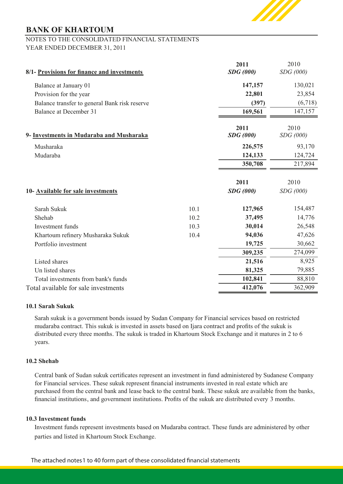

#### NOTES TO THE CONSOLIDATED FINANCIAL STATEMENTS YEAR ENDED DECEMBER 31, 2011

| 8/1- Provisions for finance and investments   |      | 2011<br><b>SDG</b> (000) | 2010<br>SDG (000) |
|-----------------------------------------------|------|--------------------------|-------------------|
| Balance at January 01                         |      | 147,157                  | 130,021           |
| Provision for the year                        |      | 22,801                   | 23,854            |
| Balance transfer to general Bank risk reserve |      | (397)                    | (6,718)           |
| <b>Balance at December 31</b>                 |      | 169,561                  | 147,157           |
| 9- Investments in Mudaraba and Musharaka      |      | 2011<br><b>SDG</b> (000) | 2010<br>SDG (000) |
| Musharaka                                     |      | 226,575                  | 93,170            |
| Mudaraba                                      |      | 124,133                  | 124,724           |
|                                               |      | 350,708                  | 217,894           |
| 10- Available for sale investments            |      | 2011<br><b>SDG</b> (000) | 2010<br>SDG (000) |
| Sarah Sukuk                                   | 10.1 | 127,965                  | 154,487           |
| Shehab                                        | 10.2 | 37,495                   | 14,776            |
| Investment funds                              | 10.3 | 30,014                   | 26,548            |
| Khartoum refinery Musharaka Sukuk             | 10.4 | 94,036                   | 47,626            |
| Portfolio investment                          |      | 19,725                   | 30,662            |
|                                               |      | 309,235                  | 274,099           |
| Listed shares                                 |      | 21,516                   | 8,925             |
| Un listed shares                              |      | 81,325                   | 79,885            |
| Total investments from bank's funds           |      | 102,841                  | 88,810            |
| Total available for sale investments          |      | 412,076                  | 362,909           |

#### **10.1 Sarah Sukuk**

Sarah sukuk is a government bonds issued by Sudan Company for Financial services based on restricted mudaraba contract. This sukuk is invested in assets based on Ijara contract and profits of the sukuk is distributed every three months. The sukuk is traded in Khartoum Stock Exchange and it matures in 2 to 6 years.

#### **10.2 Shehab**

Central bank of Sudan sukuk certificates represent an investment in fund administered by Sudanese Company for Financial services. These sukuk represent financial instruments invested in real estate which are purchased from the central bank and lease back to the central bank. These sukuk are available from the banks, financial institutions, and government institutions. Profits of the sukuk are distributed every 3 months.

#### **10.3 Investment funds**

Investment funds represent investments based on Mudaraba contract. These funds are administered by other parties and listed in Khartoum Stock Exchange.

14<br>14<br>14 Mei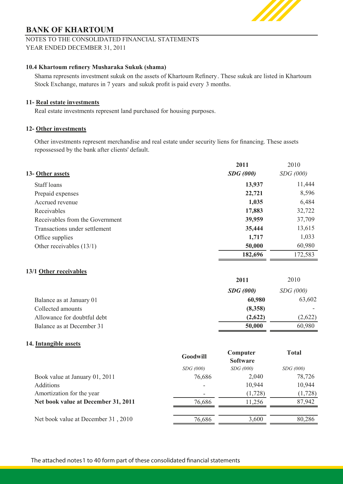

### NOTES TO THE CONSOLIDATED FINANCIAL STATEMENTS

YEAR ENDED DECEMBER 31, 2011

#### **10.4 Khartoum refinery Musharaka Sukuk (shama)**

Shama represents investment sukuk on the assets of Khartoum Refinery. These sukuk are listed in Khartoum Stock Exchange, matures in 7 years and sukuk profit is paid every 3 months.

#### **11- Real estate investments**

Real estate investments represent land purchased for housing purposes.

#### **12- Other investments**

Other investments represent merchandise and real estate under security liens for financing. These assets repossessed by the bank after clients' default.

|                                 | 2011             | 2010      |
|---------------------------------|------------------|-----------|
| 13- Other assets                | <b>SDG</b> (000) | SDG (000) |
| Staff loans                     | 13,937           | 11,444    |
| Prepaid expenses                | 22,721           | 8,596     |
| Accrued revenue                 | 1,035            | 6,484     |
| Receivables                     | 17,883           | 32,722    |
| Receivables from the Government | 39,959           | 37,709    |
| Transactions under settlement   | 35,444           | 13,615    |
| Office supplies                 | 1,717            | 1,033     |
| Other receivables $(13/1)$      | 50,000           | 60,980    |
|                                 | 182,696          | 172,583   |
| 13/1 Other receivables          |                  |           |
|                                 | 2011             | 2010      |
|                                 | <b>SDG</b> (000) | SDG (000) |
| Balance as at January 01        | 60,980           | 63,602    |
| Collected amounts               | (8,358)          |           |
| Allowance for doubtful debt     | (2,622)          | (2,622)   |
| Balance as at December 31       | 50,000           | 60,980    |
|                                 |                  |           |
| 14. Intangible assets           |                  |           |

|                                     | Goodwill         | Computer<br><b>Software</b> | <b>Total</b>     |
|-------------------------------------|------------------|-----------------------------|------------------|
|                                     | <i>SDG</i> (000) | SDG (000)                   | <i>SDG</i> (000) |
| Book value at January 01, 2011      | 76,686           | 2,040                       | 78,726           |
| <b>Additions</b>                    |                  | 10,944                      | 10,944           |
| Amortization for the year           |                  | (1,728)                     | (1, 728)         |
| Net book value at December 31, 2011 | 76,686           | 11,256                      | 87,942           |
|                                     |                  |                             |                  |
| Net book value at December 31, 2010 | 76,686           | 3,600                       | 80,286           |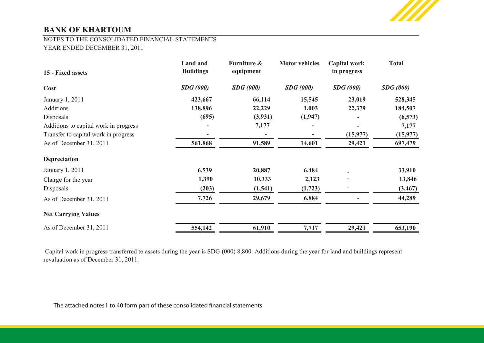

#### NOTES TO THE CONSOLIDATED FINANCIAL STATEMENTS YEAR ENDED DECEMBER 31, 2011

| 15 - Fixed assets                     | <b>Land and</b><br><b>Buildings</b> | Furniture &<br>equipment | <b>Motor vehicles</b> | <b>Capital work</b><br>in progress | <b>Total</b>     |
|---------------------------------------|-------------------------------------|--------------------------|-----------------------|------------------------------------|------------------|
| Cost                                  | <b>SDG</b> (000)                    | <b>SDG</b> (000)         | <b>SDG</b> (000)      | <b>SDG</b> (000)                   | <b>SDG</b> (000) |
| January 1, 2011                       | 423,667                             | 66,114                   | 15,545                | 23,019                             | 528,345          |
| Additions                             | 138,896                             | 22,229                   | 1,003                 | 22,379                             | 184,507          |
| Disposals                             | (695)                               | (3,931)                  | (1, 947)              |                                    | (6, 573)         |
| Additions to capital work in progress |                                     | 7,177                    |                       |                                    | 7,177            |
| Transfer to capital work in progress  |                                     |                          |                       | (15,977)                           | (15, 977)        |
| As of December 31, 2011               | 561,868                             | 91,589                   | 14,601                | 29,421                             | 697,479          |
| Depreciation                          |                                     |                          |                       |                                    |                  |
| January 1, 2011                       | 6,539                               | 20,887                   | 6,484                 |                                    | 33,910           |
| Charge for the year                   | 1,390                               | 10,333                   | 2,123                 |                                    | 13,846           |
| Disposals                             | (203)                               | (1, 541)                 | (1, 723)              |                                    | (3, 467)         |
| As of December 31, 2011               | 7,726                               | 29,679                   | 6,884                 |                                    | 44,289           |
| <b>Net Carrying Values</b>            |                                     |                          |                       |                                    |                  |
| As of December 31, 2011               | 554,142                             | 61,910                   | 7,717                 | 29,421                             | 653,190          |

Capital work in progress transferred to assets during the year is SDG (000) 8,800. Additions during the year for land and buildings represent revaluation as of December 31, 2011.

The attached notes 1 to 40 form part of these consolidated financial statements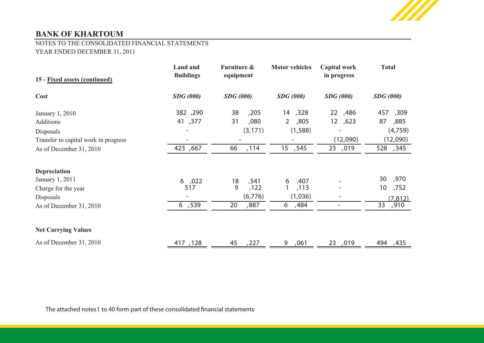

# NOTES TO THE CONSOLIDATED FINANCIAL STATEMENTS

YEAR ENDED DECEMBER 31, 2011

| 15 - Fixed assets (continued)        | <b>Land and</b><br><b>Buildings</b> | Furniture &<br>equipment | <b>Motor vehicles</b>             | <b>Capital work</b><br>in progress | <b>Total</b>          |
|--------------------------------------|-------------------------------------|--------------------------|-----------------------------------|------------------------------------|-----------------------|
| Cost                                 | <b>SDG</b> (000)                    | <b>SDG</b> (000)         | <b>SDG</b> (000)                  | <b>SDG</b> (000)                   | <b>SDG</b> (000)      |
| January 1, 2010                      | 382, 290                            | ,205<br>38               | 14, 328                           | 22,486                             | 457<br>,309           |
| Additions<br>Disposals               | 41, 377                             | 31<br>,080<br>(3, 171)   | ,805<br>$\overline{2}$<br>(1,588) | 12,623                             | ,885<br>87<br>(4,759) |
| Transfer to capital work in progress |                                     |                          |                                   | (12,090)                           | (12,090)              |
| As of December 31, 2010              | 423, 667                            | 66<br>,114               | 15, 545                           | 23,019                             | 528, 345              |
| Depreciation                         |                                     |                          |                                   |                                    |                       |
| January 1, 2011                      | ,022<br>6                           | 18<br>,541               | ,407<br>6                         |                                    | ,970<br>30            |
| Charge for the year                  | 517                                 | 9<br>,122                | ,113                              |                                    | ,752<br>10            |
| Disposals                            |                                     | (6,776)                  | (1,036)                           |                                    | (7.812)               |
| As of December 31, 2010              | 6,539                               | 20<br>,887               | 6,484                             |                                    | 33<br>,910            |
|                                      |                                     |                          |                                   |                                    |                       |
| <b>Net Carrying Values</b>           |                                     |                          |                                   |                                    |                       |
| As of December 31, 2010              | 417, 128                            | 45<br>227                | ,061<br>9                         | ,019<br>23                         | 494<br>,435           |

The attached notes 1 to 40 form part of these consolidated financial statements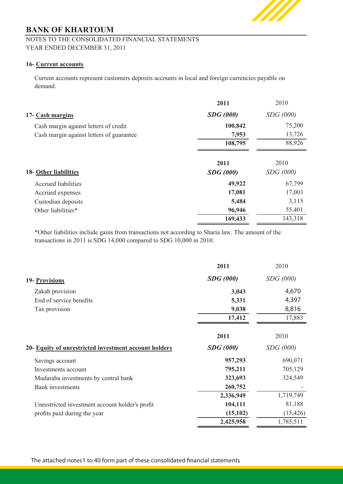

#### NOTES TO THE CONSOLIDATED FINANCIAL STATEMENTS YEAR ENDED DECEMBER 31, 2011

#### **16- Current accounts**

Current accounts represent customers deposits accounts in local and foreign currencies payable on demand.

|                                          | 2011                     | 2010              |
|------------------------------------------|--------------------------|-------------------|
| 17- Cash margins                         | <b>SDG</b> (000)         | SDG (000)         |
| Cash margin against letters of credit    | 100,842                  | 75,200            |
| Cash margin against letters of guarantee | 7,953                    | 13,726            |
|                                          | 108,795                  | 88,926            |
| 18- Other liabilities                    | 2011<br><b>SDG</b> (000) | 2010<br>SDG (000) |
| <b>Accrued liabilities</b>               | 49,922                   | 67,799            |
| Accrued expenses                         | 17,081                   | 17,003            |
| Custodian deposits                       | 5,484                    | 3,115             |
| Other liabilities*                       | 96,946                   | 55,401            |
|                                          | 169,433                  | 143,318           |

\*Other liabilities include gains from transactions not according to Sharia law. The amount of the transactions in 2011 is SDG 14,000 compared to SDG 10,000 in 2010.

|                                                       | 2011             | 2010      |
|-------------------------------------------------------|------------------|-----------|
| 19- Provisions                                        | <b>SDG</b> (000) | SDG (000) |
| Zakah provision                                       | 3,043            | 4,670     |
| End of service benefits                               | 5,331            | 4,397     |
| Tax provision                                         | 9,038            | 8,816     |
|                                                       | 17,412           | 17,883    |
|                                                       | 2011             | 2010      |
| 20- Equity of unrestricted investment account holders | <b>SDG</b> (000) | SDG (000) |
| Savings account                                       | 957,293          | 690,071   |
| Investments account                                   | 795,211          | 705,129   |
| Mudaraba investments by central bank                  | 323,693          | 324,549   |
| <b>Bank</b> investments                               | 260,752          |           |
|                                                       | 2,336,949        | 1,719,749 |
| Unrestricted investment account holder's profit       | 104,111          | 81,188    |
| profits paid during the year                          | (15, 102)        | (15, 426) |
|                                                       | 2,425,958        | 1,785,511 |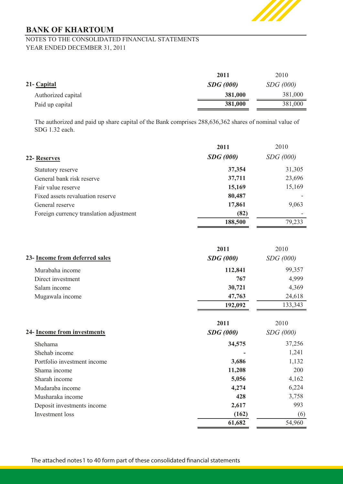

#### NOTES TO THE CONSOLIDATED FINANCIAL STATEMENTS YEAR ENDED DECEMBER 31, 2011

|                    | 2011             | 2010             |
|--------------------|------------------|------------------|
| 21- Capital        | <b>SDG</b> (000) | <i>SDG</i> (000) |
| Authorized capital | 381,000          | 381,000          |
| Paid up capital    | 381,000          | 381,000          |
|                    |                  |                  |

The authorized and paid up share capital of the Bank comprises 288,636,362 shares of nominal value of SDG 1.32 each.

|                                         | 2011             | 2010      |
|-----------------------------------------|------------------|-----------|
| 22- Reserves                            | <b>SDG</b> (000) | SDG (000) |
| Statutory reserve                       | 37,354           | 31,305    |
| General bank risk reserve               | 37,711           | 23,696    |
| Fair value reserve                      | 15,169           | 15,169    |
| Fixed assets revaluation reserve        | 80,487           |           |
| General reserve                         | 17,861           | 9,063     |
| Foreign currency translation adjustment | (82)             |           |
|                                         | 188,500          | 79,233    |

|                                | 2011             | 2010             |
|--------------------------------|------------------|------------------|
| 23- Income from deferred sales | <b>SDG</b> (000) | SDG (000)        |
| Murabaha income                | 112,841          | 99,357           |
| Direct investment              | 767              | 4,999            |
| Salam income                   | 30,721           | 4,369            |
| Mugawala income                | 47,763           | 24,618           |
|                                | 192,092          | 133,343          |
|                                |                  |                  |
|                                | 2011             | 2010             |
| 24- Income from investments    | <b>SDG</b> (000) | <i>SDG</i> (000) |
| Shehama                        | 34,575           | 37,256           |
| Shehab income                  |                  | 1,241            |
| Portfolio investment income    | 3,686            | 1,132            |
| Shama income                   | 11,208           | 200              |
| Sharah income                  | 5,056            | 4,162            |
| Mudaraba income                | 4,274            | 6,224            |
| Musharaka income               | 428              | 3,758            |
| Deposit investments income     | 2,617            | 993              |
| Investment loss                | (162)            | (6)              |
|                                | 61,682           | 54,960           |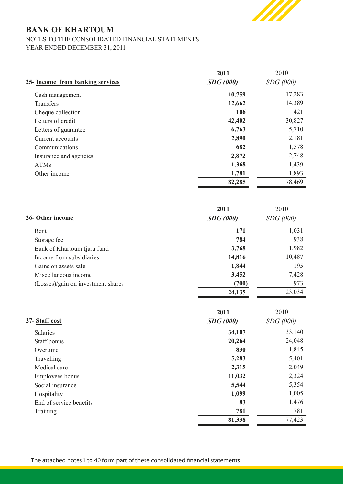

#### NOTES TO THE CONSOLIDATED FINANCIAL STATEMENTS YEAR ENDED DECEMBER 31, 2011

|                                    | 2011             | 2010      |
|------------------------------------|------------------|-----------|
| 25- Income from banking services   | <b>SDG</b> (000) | SDG (000) |
| Cash management                    | 10,759           | 17,283    |
| Transfers                          | 12,662           | 14,389    |
| Cheque collection                  | 106              | 421       |
| Letters of credit                  | 42,402           | 30,827    |
| Letters of guarantee               | 6,763            | 5,710     |
| Current accounts                   | 2,890            | 2,181     |
| Communications                     | 682              | 1,578     |
| Insurance and agencies             | 2,872            | 2,748     |
| <b>ATMs</b>                        | 1,368            | 1,439     |
| Other income                       | 1,781            | 1,893     |
|                                    | 82,285           | 78,469    |
|                                    | 2011             | 2010      |
| 26- Other income                   | <b>SDG</b> (000) | SDG (000) |
| Rent                               | 171              | 1,031     |
| Storage fee                        | 784              | 938       |
| Bank of Khartoum Ijara fund        | 3,768            | 1,982     |
| Income from subsidiaries           | 14,816           | 10,487    |
| Gains on assets sale               | 1,844            | 195       |
| Miscellaneous income               | 3,452            | 7,428     |
| (Losses)/gain on investment shares | (700)            | 973       |
|                                    | 24,135           | 23,034    |
|                                    | 2011             | 2010      |
| 27-Staff cost                      | <b>SDG</b> (000) | SDG (000) |
| Salaries                           | 34,107           | 33,140    |
| Staff bonus                        | 20,264           | 24,048    |
| Overtime                           | 830              | 1,845     |
| Travelling                         | 5,283            | 5,401     |
| Medical care                       | 2,315            | 2,049     |
| Employees bonus                    | 11,032           | 2,324     |
| Social insurance                   | 5,544            | 5,354     |
| Hospitality                        | 1,099            | 1,005     |
| End of service benefits            | 83               | 1,476     |
| Training                           | 781              | 781       |
|                                    | 81,338           | 77,423    |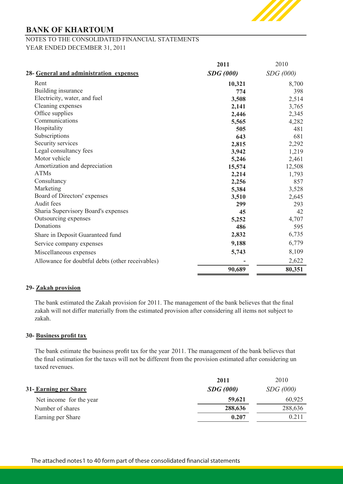

#### NOTES TO THE CONSOLIDATED FINANCIAL STATEMENTS YEAR ENDED DECEMBER 31, 2011

|                                                  | 2011             | 2010      |
|--------------------------------------------------|------------------|-----------|
| 28- General and administration expenses          | <b>SDG</b> (000) | SDG (000) |
| Rent                                             | 10,321           | 8,700     |
| Building insurance                               | 774              | 398       |
| Electricity, water, and fuel                     | 3,508            | 2,514     |
| Cleaning expenses                                | 2,141            | 3,765     |
| Office supplies                                  | 2,446            | 2,345     |
| Communications                                   | 5,565            | 4,282     |
| Hospitality                                      | 505              | 481       |
| Subscriptions                                    | 643              | 681       |
| Security services                                | 2,815            | 2,292     |
| Legal consultancy fees                           | 3,942            | 1,219     |
| Motor vehicle                                    | 5,246            | 2,461     |
| Amortization and depreciation                    | 15,574           | 12,508    |
| <b>ATMs</b>                                      | 2,214            | 1,793     |
| Consultancy                                      | 2,256            | 857       |
| Marketing                                        | 5,384            | 3,528     |
| Board of Directors' expenses                     | 3,510            | 2,645     |
| Audit fees                                       | 299              | 293       |
| Sharia Supervisory Board's expenses              | 45               | 42        |
| Outsourcing expenses                             | 5,252            | 4,707     |
| Donations                                        | 486              | 595       |
| Share in Deposit Guaranteed fund                 | 2,832            | 6,735     |
| Service company expenses                         | 9,188            | 6,779     |
| Miscellaneous expenses                           | 5,743            | 8,109     |
| Allowance for doubtful debts (other receivables) |                  | 2,622     |
|                                                  | 90,689           | 80,351    |

#### **29- Zakah provision**

The bank estimated the Zakah provision for 2011. The management of the bank believes that the final zakah will not differ materially from the estimated provision after considering all items not subject to zakah.

#### **30- Business profit tax**

The bank estimate the business profit tax for the year 2011. The management of the bank believes that the final estimation for the taxes will not be different from the provision estimated after considering un taxed revenues.

|                         | 2011             | 2010     |
|-------------------------|------------------|----------|
| 31- Earning per Share   | <b>SDG</b> (000) | SDG(000) |
| Net income for the year | 59,621           | 60,925   |
| Number of shares        | 288,636          | 288,636  |
| Earning per Share       | 0.207            | 0.211    |

21<br>21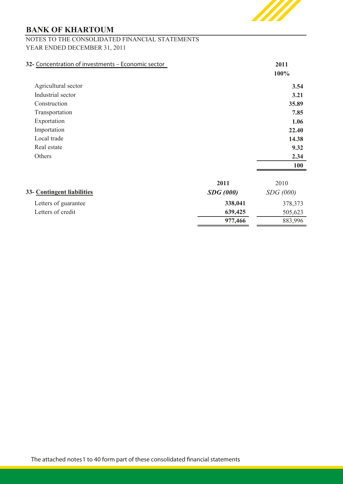

**977,466** 883,996

### **BANK OF KHARTOUM**

#### NOTES TO THE CONSOLIDATED FINANCIAL STATEMENTS YEAR ENDED DECEMBER 31, 2011

| 32- Concentration of investments - Economic sector |                  | 2011      |
|----------------------------------------------------|------------------|-----------|
|                                                    |                  | 100%      |
| Agricultural sector                                |                  | 3.54      |
| Industrial sector                                  |                  | 3.21      |
| Construction                                       |                  | 35.89     |
| Transportation                                     |                  | 7.85      |
| Exportation                                        |                  | 1.06      |
| Importation                                        |                  | 22.40     |
| Local trade                                        |                  | 14.38     |
| Real estate                                        |                  | 9.32      |
| Others                                             |                  | 2.34      |
|                                                    |                  | 100       |
|                                                    |                  |           |
|                                                    | 2011             | 2010      |
| 33- Contingent liabilities                         | <b>SDG</b> (000) | SDG (000) |
| Letters of guarantee                               | 338,041          | 378,373   |

Letters of credit 639,425 505,623

The attached notes 1 to 40 form part of these consolidated financial statements

22<br>22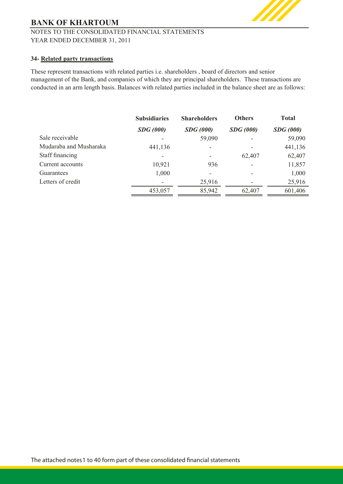#### NOTES TO THE CONSOLIDATED FINANCIAL STATEMENTS YEAR ENDED DECEMBER 31, 2011

#### **34- Related party transactions**

These represent transactions with related parties i.e. shareholders , board of directors and senior management of the Bank, and companies of which they are principal shareholders. These transactions are conducted in an arm length basis. Balances with related parties included in the balance sheet are as follows:

|                        | <b>Subsidiaries</b>      | <b>Shareholders</b> | <b>Others</b>    | <b>Total</b>     |
|------------------------|--------------------------|---------------------|------------------|------------------|
|                        | <b>SDG</b> (000)         | <b>SDG</b> (000)    | <b>SDG</b> (000) | <b>SDG</b> (000) |
| Sale receivable        | ٠                        | 59,090              |                  | 59,090           |
| Mudaraba and Musharaka | 441,136                  |                     |                  | 441,136          |
| Staff financing        | $\overline{\phantom{a}}$ |                     | 62,407           | 62,407           |
| Current accounts       | 10,921                   | 936                 |                  | 11,857           |
| Guarantees             | 1,000                    |                     | -                | 1,000            |
| Letters of credit      | ۰                        | 25,916              | -                | 25,916           |
|                        | 453,057                  | 85,942              | 62,407           | 601,406          |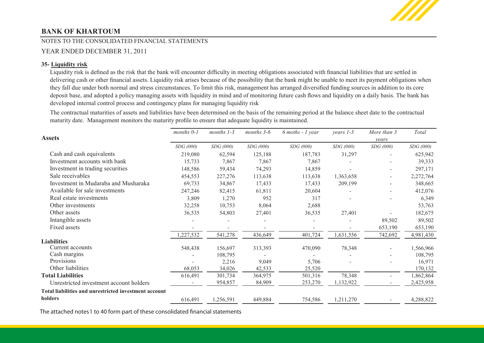

#### NOTES TO THE CONSOLIDATED FINANCIAL STATEMENTS

#### YEAR ENDED DECEMBER 31, 2011

#### **35- Liquidity risk**

Liquidity risk is defined as the risk that the bank will encounter difficulty in meeting obligations associated with financial liabilities that are settled in delivering cash or other financial assets. Liquidity risk arises because of the possibility that the bank might be unable to meet its payment obligations when they fall due under both normal and stress circumstances. To limit this risk, management has arranged diversified funding sources in addition to its core deposit base, and adopted a policy managing assets with liquidity in mind and of monitoring future cash flows and liquidity on a daily basis. The bank has developed internal control process and contingency plans for managing liquidity risk

The contractual maturities of assets and liabilities have been determined on the basis of the remaining period at the balance sheet date to the contractual maturity date. Management monitors the maturity profile to ensure that adequate liquidity is maintained.

|                                                       | $months 0-1$ | $months 1-3$ | months 3-6 | $6$ moths $-1$ year | $years 1-3$ | More than 3 | Total     |
|-------------------------------------------------------|--------------|--------------|------------|---------------------|-------------|-------------|-----------|
| <b>Assets</b>                                         |              |              |            |                     |             | years       |           |
|                                                       | SDG (000)    | SDG (000)    | SDG (000)  | SDG (000)           | SDG (000)   | SDG (000)   | SDG (000) |
| Cash and cash equivalents                             | 219,080      | 62,594       | 125,188    | 187,783             | 31,297      |             | 625,942   |
| Investment accounts with bank                         | 15,733       | 7,867        | 7,867      | 7,867               |             |             | 39,333    |
| Investment in trading securities                      | 148,586      | 59,434       | 74,293     | 14,859              |             |             | 297,171   |
| Sale receivables                                      | 454,553      | 227,276      | 113,638    | 113,638             | 1,363,658   |             | 2,272,764 |
| Investment in Mudaraba and Musharaka                  | 69,733       | 34,867       | 17,433     | 17,433              | 209,199     |             | 348,665   |
| Available for sale investments                        | 247,246      | 82,415       | 61,811     | 20,604              |             |             | 412,076   |
| Real estate investments                               | 3,809        | 1,270        | 952        | 317                 |             |             | 6,349     |
| Other investments                                     | 32,258       | 10,753       | 8,064      | 2,688               |             |             | 53,763    |
| Other assets                                          | 36,535       | 54,803       | 27,401     | 36,535              | 27,401      |             | 182,675   |
| Intangible assets                                     |              |              |            |                     |             | 89,502      | 89,502    |
| Fixed assets                                          |              |              |            |                     |             | 653,190     | 653,190   |
|                                                       | 1,227,532    | 541,278      | 436,649    | 401,724             | 1,631,556   | 742,692     | 4,981,430 |
| <b>Liabilities</b>                                    |              |              |            |                     |             |             |           |
| Current accounts                                      | 548,438      | 156,697      | 313,393    | 470,090             | 78,348      |             | 1,566,966 |
| Cash margins                                          |              | 108,795      |            |                     |             |             | 108,795   |
| Provisions                                            |              | 2,216        | 9,049      | 5,706               |             |             | 16,971    |
| Other liabilities                                     | 68,053       | 34,026       | 42,533     | 25,520              |             |             | 170,132   |
| <b>Total Liabilities</b>                              | 616,491      | 301,734      | 364,975    | 501,316             | 78,348      |             | 1,862,864 |
| Unrestricted investment account holders               |              | 954,857      | 84,909     | 253,270             | 1,132,922   |             | 2,425,958 |
| Total liabilities and unrestricted investment account |              |              |            |                     |             |             |           |
| holders                                               | 616,491      | 1,256,591    | 449,884    | 754,586             | 1,211,270   |             | 4,288,822 |

The attached notes 1 to 40 form part of these consolidated financial statements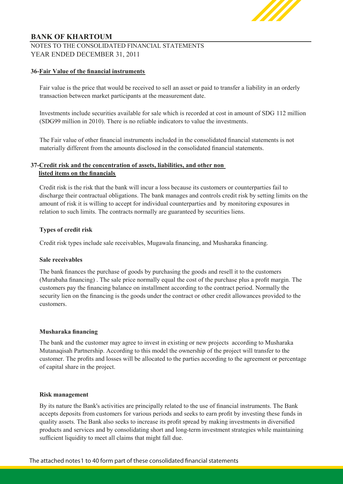

#### NOTES TO THE CONSOLIDATED FINANCIAL STATEMENTS YEAR ENDED DECEMBER 31, 2011

#### **36-Fair Value of the financial instruments**

Fair value is the price that would be received to sell an asset or paid to transfer a liability in an orderly transaction between market participants at the measurement date.

Investments include securities available for sale which is recorded at cost in amount of SDG 112 million (SDG99 million in 2010). There is no reliable indicators to value the investments.

The Fair value of other financial instruments included in the consolidated financial statements is not materially different from the amounts disclosed in the consolidated financial statements.

#### **37-Credit risk and the concentration of assets, liabilities, and other non listed items on the financials**

Credit risk is the risk that the bank will incur a loss because its customers or counterparties fail to discharge their contractual obligations. The bank manages and controls credit risk by setting limits on the amount of risk it is willing to accept for individual counterparties and by monitoring exposures in relation to such limits. The contracts normally are guaranteed by securities liens.

#### **Types of credit risk**

Credit risk types include sale receivables, Mugawala financing, and Musharaka financing.

#### **Sale receivables**

The bank finances the purchase of goods by purchasing the goods and resell it to the customers (Murabaha financing) . The sale price normally equal the cost of the purchase plus a profit margin. The customers pay the financing balance on installment according to the contract period. Normally the security lien on the financing is the goods under the contract or other credit allowances provided to the customers.

#### **Musharaka financing**

The bank and the customer may agree to invest in existing or new projects according to Musharaka Mutanaqisah Partnership. According to this model the ownership of the project will transfer to the customer. The profits and losses will be allocated to the parties according to the agreement or percentage of capital share in the project.

#### **Risk management**

By its nature the Bank's activities are principally related to the use of financial instruments. The Bank accepts deposits from customers for various periods and seeks to earn profit by investing these funds in quality assets. The Bank also seeks to increase its profit spread by making investments in diversified products and services and by consolidating short and long-term investment strategies while maintaining sufficient liquidity to meet all claims that might fall due.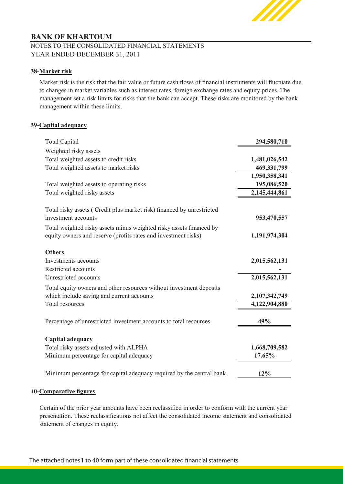

#### NOTES TO THE CONSOLIDATED FINANCIAL STATEMENTS YEAR ENDED DECEMBER 31, 2011

#### **38-Market risk**

Market risk is the risk that the fair value or future cash flows of financial instruments will fluctuate due to changes in market variables such as interest rates, foreign exchange rates and equity prices. The management set a risk limits for risks that the bank can accept. These risks are monitored by the bank management within these limits.

#### **39-Capital adequacy**

| <b>Total Capital</b>                                                  | 294,580,710                    |
|-----------------------------------------------------------------------|--------------------------------|
| Weighted risky assets                                                 |                                |
| Total weighted assets to credit risks                                 | 1,481,026,542                  |
| Total weighted assets to market risks                                 | 469,331,799                    |
|                                                                       | 1,950,358,341                  |
| Total weighted assets to operating risks                              | 195,086,520                    |
| Total weighted risky assets                                           | 2,145,444,861                  |
|                                                                       |                                |
| Total risky assets (Credit plus market risk) financed by unrestricted |                                |
| investment accounts                                                   | 953,470,557                    |
| Total weighted risky assets minus weighted risky assets financed by   |                                |
| equity owners and reserve (profits rates and investment risks)        | 1,191,974,304                  |
| <b>Others</b>                                                         |                                |
| Investments accounts                                                  | 2,015,562,131                  |
| Restricted accounts                                                   |                                |
| Unrestricted accounts                                                 | 2,015,562,131                  |
|                                                                       |                                |
| Total equity owners and other resources without investment deposits   |                                |
| which include saving and current accounts<br>Total resources          | 2,107,342,749<br>4,122,904,880 |
|                                                                       |                                |
| Percentage of unrestricted investment accounts to total resources     | 49%                            |
|                                                                       |                                |
| Capital adequacy                                                      |                                |
| Total risky assets adjusted with ALPHA                                | 1,668,709,582                  |
| Minimum percentage for capital adequacy                               | 17.65%                         |
|                                                                       |                                |
| Minimum percentage for capital adequacy required by the central bank  | 12%                            |

#### **40-Comparative figures**

Certain of the prior year amounts have been reclassified in order to conform with the current year presentation. These reclassifications not affect the consolidated income statement and consolidated statement of changes in equity.